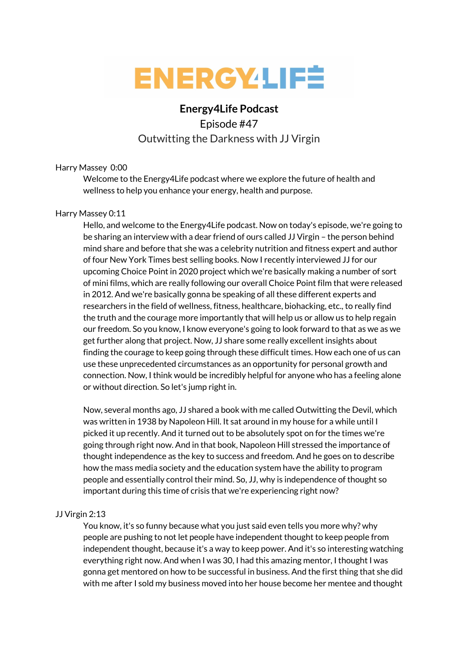

# **Energy4Life Podcast**

Episode #47 Outwitting the Darkness with JJ Virgin

## Harry Massey 0:00

Welcome to the Energy4Life podcast where we explore the future of health and wellness to help you enhance your energy, health and purpose.

## Harry Massey 0:11

Hello, and welcome to the Energy4Life podcast. Now on today's episode, we're going to be sharing an interview with a dear friend of ours called JJ Virgin – the person behind mind share and before that she was a celebrity nutrition and fitness expert and author of four New York Times best selling books. Now I recently interviewed JJ for our upcoming Choice Point in 2020 project which we're basically making a number of sort of mini films, which are really following our overall Choice Point film that were released in 2012. And we're basically gonna be speaking of all these different experts and researchers in the field of wellness, fitness, healthcare, biohacking, etc., to really find the truth and the courage more importantly that will help us or allow us to help regain our freedom. So you know, I know everyone's going to look forward to that as we as we get further along that project. Now, JJ share some really excellent insights about finding the courage to keep going through these difficult times. How each one of us can use these unprecedented circumstances as an opportunity for personal growth and connection. Now, I think would be incredibly helpful for anyone who has a feeling alone or without direction. So let's jump right in.

Now, several months ago, JJ shared a book with me called Outwitting the Devil, which was written in 1938 by Napoleon Hill. It sat around in my house for a while until I picked it up recently. And it turned out to be absolutely spot on for the times we're going through right now. And in that book, Napoleon Hill stressed the importance of thought independence as the key to success and freedom. And he goes on to describe how the mass media society and the education system have the ability to program people and essentially control their mind. So, JJ, why is independence of thought so important during this time of crisis that we're experiencing right now?

# JJ Virgin 2:13

You know, it's so funny because what you just said even tells you more why? why people are pushing to not let people have independent thought to keep people from independent thought, because it's a way to keep power. And it's so interesting watching everything right now. And when I was 30, I had this amazing mentor, I thought I was gonna get mentored on how to be successful in business. And the first thing that she did with me after I sold my business moved into her house become her mentee and thought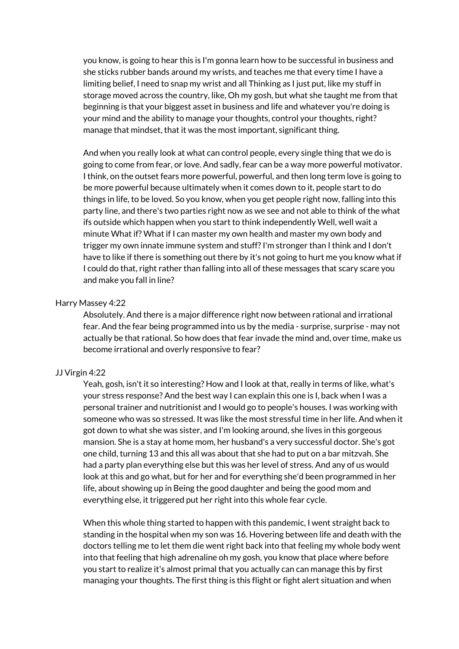you know, is going to hear this is I'm gonna learn how to be successful in business and she sticks rubber bands around my wrists, and teaches me that every time I have a limiting belief, I need to snap my wrist and all Thinking as I just put, like my stuff in storage moved across the country, like, Oh my gosh, but what she taught me from that beginning is that your biggest asset in business and life and whatever you're doing is your mind and the ability to manage your thoughts, control your thoughts, right? manage that mindset, that it was the most important, significant thing.

And when you really look at what can control people, every single thing that we do is going to come from fear, or love. And sadly, fear can be a way more powerful motivator. I think, on the outset fears more powerful, powerful, and then long term love is going to be more powerful because ultimately when it comes down to it, people start to do things in life, to be loved. So you know, when you get people right now, falling into this party line, and there's two parties right now as we see and not able to think of the what ifs outside which happen when you start to think independently Well, well wait a minute What if? What if I can master my own health and master my own body and trigger my own innate immune system and stuff?I'm stronger than I think and I don't have to like if there is something out there by it's not going to hurt me you know what if I could do that, right rather than falling into all of these messages that scary scare you and make you fall in line?

#### Harry Massey 4:22

Absolutely. And there is a major difference right now between rational and irrational fear. And the fear being programmed into us by the media - surprise, surprise - may not actually be that rational. So how does that fear invade the mind and, over time, make us become irrational and overly responsive to fear?

### JJ Virgin 4:22

Yeah, gosh, isn't it so interesting? How and I look at that, really in terms of like, what's your stress response? And the best way I can explain this one is I, back when I was a personal trainer and nutritionist and I would go to people's houses. I was working with someone who was so stressed. It was like the most stressful time in her life. And when it got down to what she was sister, and I'm looking around, she lives in this gorgeous mansion. She is a stay at home mom, her husband's a very successful doctor. She's got one child, turning 13 and this all was about that she had to put on a bar mitzvah. She had a party plan everything else but this was her level of stress. And any of us would look at this and go what, but for her and for everything she'd been programmed in her life, about showing up in Being the good daughter and being the good mom and everything else, it triggered put her right into this whole fear cycle.

When this whole thing started to happen with this pandemic, I went straight back to standing in the hospital when my son was 16. Hovering between life and death with the doctors telling me to let them die went right back into that feeling my whole body went into that feeling that high adrenaline oh my gosh, you know that place where before you start to realize it's almost primal that you actually can can manage this by first managing your thoughts. The first thing is this flight or fight alert situation and when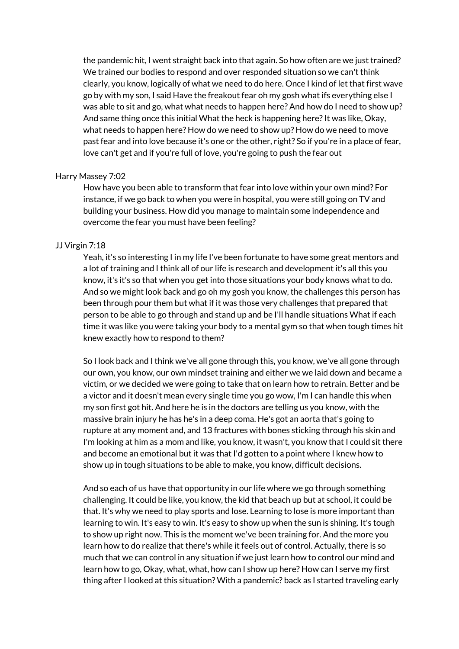the pandemic hit, I went straight back into that again. So how often are we just trained? We trained our bodies to respond and over responded situation so we can't think clearly, you know, logically of what we need to do here. Once I kind of let that first wave go by with my son, I said Have the freakout fear oh my gosh what ifs everything else I was able to sit and go, what what needs to happen here? And how do I need to show up? And same thing once this initial What the heck is happening here? It was like, Okay, what needs to happen here? How do we need to show up? How do we need to move past fear and into love because it's one or the other, right? So if you're in a place of fear, love can't get and if you're full of love, you're going to push the fear out

#### Harry Massey 7:02

How have you been able to transform that fear into love within your own mind? For instance, if we go back to when you were in hospital, you were still going on TV and building your business. How did you manage to maintain some independence and overcome the fear you must have been feeling?

## JJ Virgin 7:18

Yeah, it's so interesting I in my life I've been fortunate to have some great mentors and a lot of training and I think all of our life is research and development it's all this you know, it's it's so that when you get into those situations your body knows what to do. And so we might look back and go oh my gosh you know, the challenges this person has been through pour them but what if it was those very challenges that prepared that person to be able to go through and stand up and be I'll handle situations What if each time it was like you were taking your body to a mental gym so that when tough times hit knew exactly how to respond to them?

So I look back and I think we've all gone through this, you know, we've all gone through our own, you know, our own mindset training and either we we laid down and became a victim, or we decided we were going to take that on learn how to retrain. Better and be a victor and it doesn't mean every single time you go wow, I'm I can handle this when my son first got hit. And here he is in the doctors are telling us you know, with the massive brain injury he has he's in a deep coma. He's got an aorta that's going to rupture at any moment and, and 13 fractures with bones sticking through his skin and I'm looking at him as a mom and like, you know, it wasn't, you know that I could sit there and become an emotional but it was that I'd gotten to a point where I knew how to show up in tough situations to be able to make, you know, difficult decisions.

And so each of us have that opportunity in our life where we go through something challenging. It could be like, you know, the kid that beach up but at school, it could be that. It's why we need to play sports and lose. Learning to lose is more important than learning to win. It's easy to win. It's easy to show up when the sun is shining. It's tough to show up right now. This is the moment we've been training for. And the more you learn how to do realize that there's while it feels out of control. Actually, there is so much that we can control in any situation if we just learn how to control our mind and learn how to go, Okay, what, what, how can I show up here? How can I serve my first thing after I looked at this situation? With a pandemic? back as I started traveling early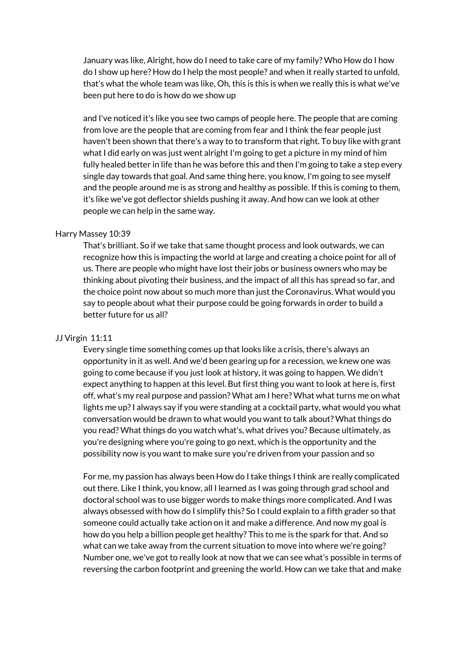January was like, Alright, how do I need to take care of my family? Who How do I how do I show up here? How do I help the most people? and when it really started to unfold, that's what the whole team was like, Oh, this is this is when we really this is what we've been put here to do is how do we show up

and I've noticed it's like you see two camps of people here. The people that are coming from love are the people that are coming from fear and I think the fear people just haven't been shown that there's a way to to transform that right. To buy like with grant what I did early on was just went alright I'm going to get a picture in my mind of him fully healed better in life than he was before this and then I'm going to take a step every single day towards that goal. And same thing here, you know, I'm going to see myself and the people around me is as strong and healthy as possible. If this is coming to them, it's like we've got deflector shields pushing it away. And how can we look at other people we can help in the same way.

#### Harry Massey 10:39

That's brilliant. So if we take that same thought process and look outwards, we can recognize how this is impacting the world at large and creating a choice point for all of us. There are people who might have lost their jobs or business owners who may be thinking about pivoting their business, and the impact of all this has spread so far, and the choice point now about so much more than just the Coronavirus. What would you say to people about what their purpose could be going forwards in order to build a better future for us all?

#### JJ Virgin 11:11

Every single time something comes up that looks like a crisis, there's always an opportunity in it as well. And we'd been gearing up for a recession, we knew one was going to come because if you just look at history, it was going to happen. We didn't expect anything to happen at this level. But first thing you want to look at here is, first off, what's my real purpose and passion? What am I here? What what turns me on what lights me up? I always say if you were standing at a cocktail party, what would you what conversation would be drawn to what would you want to talk about? What things do you read? What things do you watch what's, what drives you? Because ultimately, as you're designing where you're going to go next, which is the opportunity and the possibility now is you want to make sure you're driven from your passion and so

For me, my passion has always been How do I take things I think are really complicated out there. Like I think, you know, all I learned as I was going through grad school and doctoral school was to use bigger words to make things more complicated. And I was always obsessed with how do I simplify this? So I could explain to a fifth grader so that someone could actually take action on it and make a difference. And now my goal is how do you help a billion people get healthy? This to me is the spark for that. And so what can we take away from the current situation to move into where we're going? Number one, we've got to really look at now that we can see what's possible in terms of reversing the carbon footprint and greening the world. How can we take that and make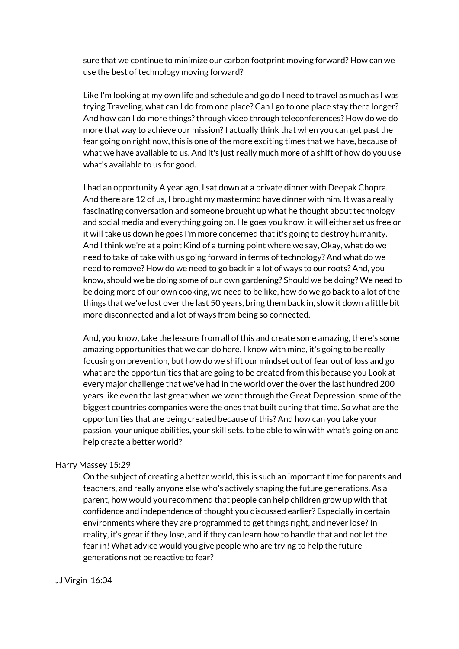sure that we continue to minimize our carbon footprint moving forward? How can we use the best of technology moving forward?

Like I'm looking at my own life and schedule and go do I need to travel as much as I was trying Traveling, what can I do from one place? Can I go to one place stay there longer? And how can I do more things? through video through teleconferences? How do we do more that way to achieve our mission?I actually think that when you can get past the fear going on right now, this is one of the more exciting times that we have, because of what we have available to us. And it's just really much more of a shift of how do you use what's available to us for good.

I had an opportunity A year ago, I sat down at a private dinner with Deepak Chopra. And there are 12 of us, I brought my mastermind have dinner with him. It was a really fascinating conversation and someone brought up what he thought about technology and social media and everything going on. He goes you know, it will either set us free or it will take us down he goes I'm more concerned that it's going to destroy humanity. And I think we're at a point Kind of a turning point where we say, Okay, what do we need to take of take with us going forward in terms of technology? And what do we need to remove? How do we need to go back in a lot of ways to our roots? And, you know, should we be doing some of our own gardening? Should we be doing? We need to be doing more of our own cooking, we need to be like, how do we go back to a lot of the things that we've lost over the last 50 years, bring them back in, slow it down a little bit more disconnected and a lot of ways from being so connected.

And, you know, take the lessons from all of this and create some amazing, there's some amazing opportunities that we can do here. I know with mine, it's going to be really focusing on prevention, but how do we shift our mindset out of fear out of loss and go what are the opportunities that are going to be created from this because you Look at every major challenge that we've had in the world over the over the last hundred 200 years like even the last great when we went through the Great Depression, some of the biggest countries companies were the ones that built during that time. So what are the opportunities that are being created because of this? And how can you take your passion, your unique abilities, your skill sets, to be able to win with what's going on and help create a better world?

## Harry Massey 15:29

On the subject of creating a better world, this is such an important time for parents and teachers, and really anyone else who's actively shaping the future generations. As a parent, how would you recommend that people can help children grow up with that confidence and independence of thought you discussed earlier? Especially in certain environments where they are programmed to get things right, and never lose? In reality, it's great if they lose, and if they can learn how to handle that and not let the fear in! What advice would you give people who are trying to help the future generations not be reactive to fear?

#### JJ Virgin 16:04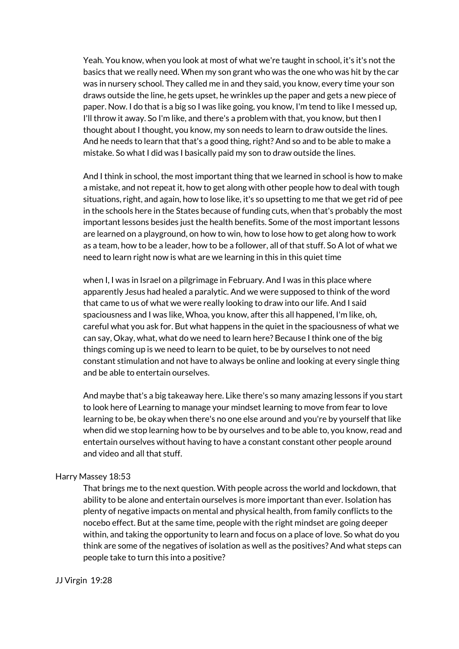Yeah. You know, when you look at most of what we're taught in school, it's it's not the basics that we really need. When my son grant who was the one who was hit by the car was in nursery school. They called me in and they said, you know, every time your son draws outside the line, he gets upset, he wrinkles up the paper and gets a new piece of paper. Now. I do that is a big so I was like going, you know, I'm tend to like I messed up, I'll throw it away. So I'm like, and there's a problem with that, you know, but then I thought about I thought, you know, my son needs to learn to draw outside the lines. And he needs to learn that that's a good thing, right? And so and to be able to make a mistake. So what I did was I basically paid my son to draw outside the lines.

And I think in school, the most important thing that we learned in school is how to make a mistake, and not repeat it, how to get along with other people how to deal with tough situations, right, and again, how to lose like, it's so upsetting to me that we get rid of pee in the schools here in the States because of funding cuts, when that's probably the most important lessons besides just the health benefits. Some of the most important lessons are learned on a playground, on how to win, how to lose how to get along how to work as a team, how to be a leader, how to be a follower, all of that stuff. So A lot of what we need to learn right now is what are we learning in this in this quiet time

when I, I was in Israel on a pilgrimage in February. And I was in this place where apparently Jesus had healed a paralytic. And we were supposed to think of the word that came to us of what we were really looking to draw into our life. And I said spaciousness and I was like, Whoa, you know, after this all happened, I'm like, oh, careful what you ask for. But what happens in the quiet in the spaciousness of what we can say, Okay, what, what do we need to learn here? Because I think one of the big things coming up is we need to learn to be quiet, to be by ourselves to not need constant stimulation and not have to always be online and looking at every single thing and be able to entertain ourselves.

And maybe that's a big takeaway here. Like there's so many amazing lessons if you start to look here of Learning to manage your mindset learning to move from fear to love learning to be, be okay when there's no one else around and you're by yourself that like when did we stop learning how to be by ourselves and to be able to, you know, read and entertain ourselves without having to have a constant constant other people around and video and all that stuff.

#### Harry Massey 18:53

That brings me to the next question. With people across the world and lockdown, that ability to be alone and entertain ourselves is more important than ever. Isolation has plenty of negative impacts on mental and physical health, from family conflicts to the nocebo effect. But at the same time, people with the right mindset are going deeper within, and taking the opportunity to learn and focus on a place of love. So what do you think are some of the negatives of isolation as well as the positives? And what steps can people take to turn this into a positive?

#### JJ Virgin 19:28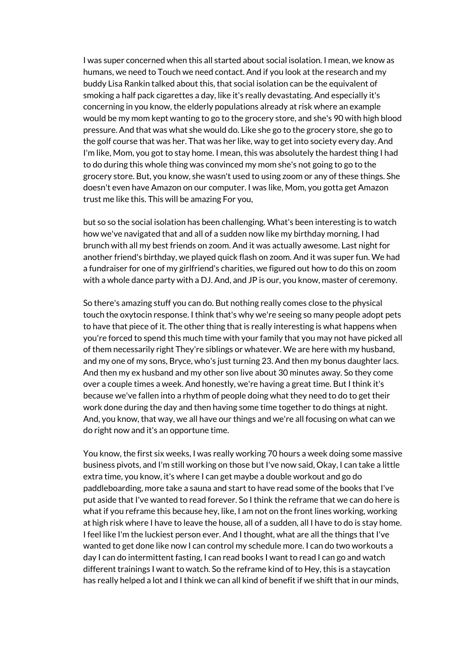I was super concerned when this all started about social isolation. I mean, we know as humans, we need to Touch we need contact. And if you look at the research and my buddy Lisa Rankin talked about this, that social isolation can be the equivalent of smoking a half pack cigarettes a day, like it's really devastating. And especially it's concerning in you know, the elderly populations already at risk where an example would be my mom kept wanting to go to the grocery store, and she's 90 with high blood pressure. And that was what she would do. Like she go to the grocery store, she go to the golf course that was her. That was her like, way to get into society every day. And I'm like, Mom, you got to stay home. I mean, this was absolutely the hardest thing I had to do during this whole thing was convinced my mom she's not going to go to the grocery store. But, you know, she wasn't used to using zoom or any of these things. She doesn't even have Amazon on our computer. I was like, Mom, you gotta get Amazon trust me like this. This will be amazing For you,

but so so the social isolation has been challenging. What's been interesting is to watch how we've navigated that and all of a sudden now like my birthday morning, I had brunch with all my best friends on zoom. And it was actually awesome. Last night for another friend's birthday, we played quick flash on zoom. And it was super fun. We had a fundraiser for one of my girlfriend's charities, we figured out how to do this on zoom with a whole dance party with a DJ. And, and JP is our, you know, master of ceremony.

So there's amazing stuff you can do. But nothing really comes close to the physical touch the oxytocin response. I think that's why we're seeing so many people adopt pets to have that piece of it. The other thing that is really interesting is what happens when you're forced to spend this much time with your family that you may not have picked all of them necessarily right They're siblings or whatever. We are here with my husband, and my one of my sons, Bryce, who's just turning 23. And then my bonus daughter lacs. And then my ex husband and my other son live about 30 minutes away. So they come over a couple times a week. And honestly, we're having a great time. But I think it's because we've fallen into a rhythm of people doing what they need to do to get their work done during the day and then having some time together to do things at night. And, you know, that way, we all have our things and we're all focusing on what can we do right now and it's an opportune time.

You know, the first six weeks, I was really working 70 hours a week doing some massive business pivots, and I'm still working on those but I've now said, Okay, I can take a little extra time, you know, it's where I can get maybe a double workout and go do paddleboarding, more take a sauna and start to have read some of the books that I've put aside that I've wanted to read forever. So I think the reframe that we can do here is what if you reframe this because hey, like, I am not on the front lines working, working at high risk where I have to leave the house, all of a sudden, all I have to do is stay home. I feel like I'm the luckiest person ever. And I thought, what are all the things that I've wanted to get done like now I can control my schedule more. I can do two workouts a day I can do intermittent fasting, I can read books I want to read I can go and watch different trainings I want to watch. So the reframe kind of to Hey, this is a staycation has really helped a lot and I think we can all kind of benefit if we shift that in our minds,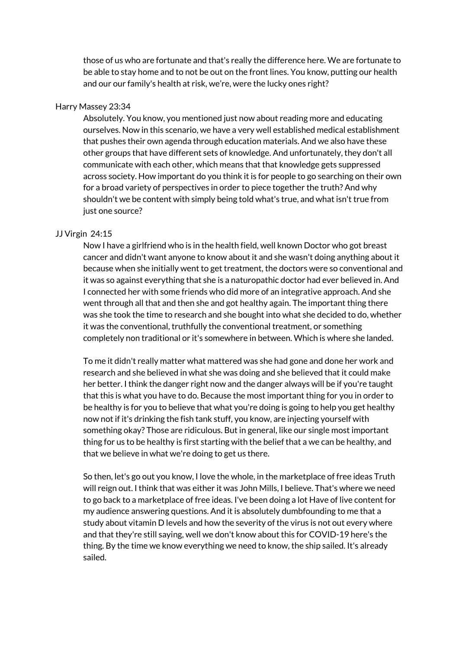those of us who are fortunate and that's really the difference here. We are fortunate to be able to stay home and to not be out on the front lines. You know, putting our health and our our family's health at risk, we're, were the lucky ones right?

#### Harry Massey 23:34

Absolutely. You know, you mentioned just now about reading more and educating ourselves. Now in this scenario, we have a very well established medical establishment that pushes their own agenda through education materials. And we also have these other groups that have different sets of knowledge. And unfortunately, they don't all communicate with each other, which means that that knowledge gets suppressed across society. How important do you think it is for people to go searching on their own for a broad variety of perspectives in order to piece together the truth? And why shouldn't we be content with simply being told what's true, and what isn't true from just one source?

#### JJ Virgin 24:15

Now I have a girlfriend who is in the health field, well known Doctor who got breast cancer and didn't want anyone to know about it and she wasn't doing anything about it because when she initially went to get treatment, the doctors were so conventional and it was so against everything that she is a naturopathic doctor had ever believed in. And I connected her with some friends who did more of an integrative approach. And she went through all that and then she and got healthy again. The important thing there was she took the time to research and she bought into what she decided to do, whether it was the conventional, truthfully the conventional treatment, or something completely non traditional or it's somewhere in between. Which is where she landed.

To me it didn't really matter what mattered was she had gone and done her work and research and she believed in what she was doing and she believed that it could make her better. I think the danger right now and the danger always will be if you're taught that this is what you have to do. Because the most important thing for you in order to be healthy is for you to believe that what you're doing is going to help you get healthy now not if it's drinking the fish tank stuff, you know, are injecting yourself with something okay? Those are ridiculous. But in general, like our single most important thing for us to be healthy is first starting with the belief that a we can be healthy, and that we believe in what we're doing to get us there.

So then, let's go out you know, I love the whole, in the marketplace of free ideas Truth will reign out. I think that was either it was John Mills, I believe. That's where we need to go back to a marketplace of free ideas. I've been doing a lot Have of live content for my audience answering questions. And it is absolutely dumbfounding to me that a study about vitamin D levels and how the severity of the virus is not out every where and that they're still saying, well we don't know about this for COVID-19 here's the thing. By the time we know everything we need to know, the ship sailed. It's already sailed.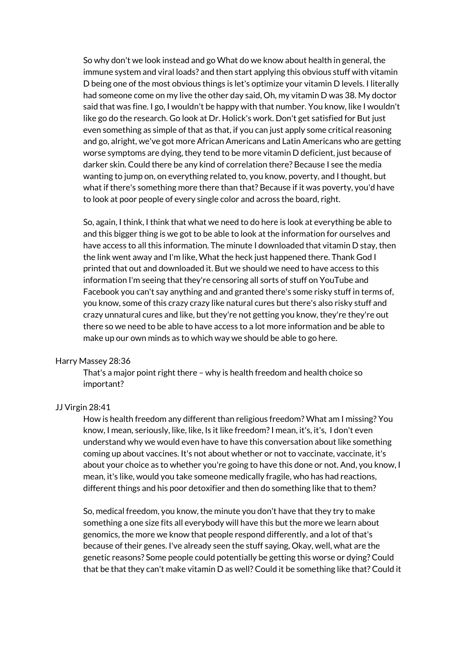So why don't we look instead and go What do we know about health in general, the immune system and viral loads? and then start applying this obvious stuff with vitamin D being one of the most obvious things is let's optimize your vitamin D levels. I literally had someone come on my live the other day said, Oh, my vitamin D was 38. My doctor said that was fine. I go, I wouldn't be happy with that number. You know, like I wouldn't like go do the research. Go look at Dr. Holick's work. Don't get satisfied for But just even something as simple of that as that, if you can just apply some critical reasoning and go, alright, we've got more African Americans and Latin Americans who are getting worse symptoms are dying, they tend to be more vitamin D deficient, just because of darker skin. Could there be any kind of correlation there? Because I see the media wanting to jump on, on everything related to, you know, poverty, and I thought, but what if there's something more there than that? Because if it was poverty, you'd have to look at poor people of every single color and across the board, right.

So, again, I think, I think that what we need to do here is look at everything be able to and this bigger thing is we got to be able to look at the information for ourselves and have access to all this information. The minute I downloaded that vitamin D stay, then the link went away and I'm like, What the heck just happened there. Thank God I printed that out and downloaded it. But we should we need to have access to this information I'm seeing that they're censoring all sorts of stuff on YouTube and Facebook you can't say anything and and granted there's some risky stuff in terms of, you know, some of this crazy crazy like natural cures but there's also risky stuff and crazy unnatural cures and like, but they're not getting you know, they're they're out there so we need to be able to have access to a lot more information and be able to make up our own minds as to which way we should be able to go here.

#### Harry Massey 28:36

That's a major point right there – why is health freedom and health choice so important?

#### JJ Virgin 28:41

How is health freedom any different than religious freedom? What am I missing? You know, I mean, seriously, like, like, Is it like freedom?I mean, it's, it's, I don't even understand why we would even have to have this conversation about like something coming up about vaccines. It's not about whether or not to vaccinate, vaccinate, it's about your choice as to whether you're going to have this done or not. And, you know, I mean, it's like, would you take someone medically fragile, who has had reactions, different things and his poor detoxifier and then do something like that to them?

So, medical freedom, you know, the minute you don't have that they try to make something a one size fits all everybody will have this but the more we learn about genomics, the more we know that people respond differently, and a lot of that's because of their genes. I've already seen the stuff saying, Okay, well, what are the genetic reasons? Some people could potentially be getting this worse or dying? Could that be that they can't make vitamin D as well? Could it be something like that? Could it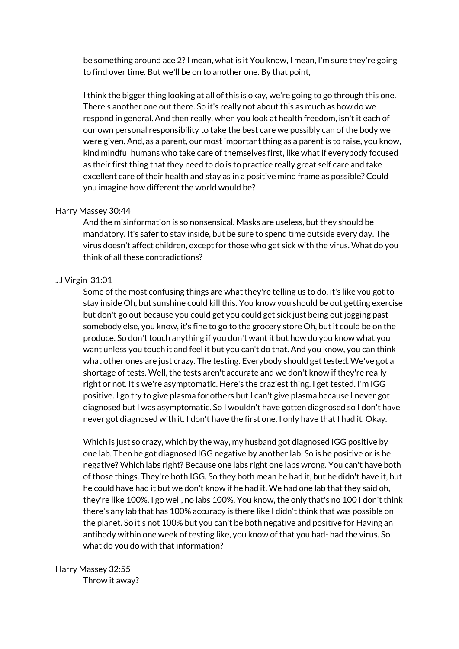be something around ace 2?I mean, what is it You know, I mean, I'm sure they're going to find over time. But we'll be on to another one. By that point,

I think the bigger thing looking at all of this is okay, we're going to go through this one. There's another one out there. So it's really not about this as much as how do we respond in general. And then really, when you look at health freedom, isn't it each of our own personal responsibility to take the best care we possibly can of the body we were given. And, as a parent, our most important thing as a parent is to raise, you know, kind mindful humans who take care of themselves first, like what if everybody focused as their first thing that they need to do is to practice really great self care and take excellent care of their health and stay as in a positive mind frame as possible? Could you imagine how different the world would be?

#### Harry Massey 30:44

And the misinformation is so nonsensical. Masks are useless, but they should be mandatory. It's safer to stay inside, but be sure to spend time outside every day. The virus doesn't affect children, except for those who get sick with the virus. What do you think of all these contradictions?

#### JJ Virgin 31:01

Some of the most confusing things are what they're telling us to do, it's like you got to stay inside Oh, but sunshine could kill this. You know you should be out getting exercise but don't go out because you could get you could get sick just being out jogging past somebody else, you know, it's fine to go to the grocery store Oh, but it could be on the produce. So don't touch anything if you don't want it but how do you know what you want unless you touch it and feel it but you can't do that. And you know, you can think what other ones are just crazy. The testing. Everybody should get tested. We've got a shortage of tests. Well, the tests aren't accurate and we don't know if they're really right or not. It's we're asymptomatic. Here's the craziest thing. I get tested. I'm IGG positive. I go try to give plasma for others but I can't give plasma because I never got diagnosed but I was asymptomatic. So I wouldn't have gotten diagnosed so I don't have never got diagnosed with it. I don't have the first one. I only have that I had it. Okay.

Which is just so crazy, which by the way, my husband got diagnosed IGG positive by one lab. Then he got diagnosed IGG negative by another lab. So is he positive or is he negative? Which labs right? Because one labs right one labs wrong. You can't have both of those things. They're both IGG. So they both mean he had it, but he didn't have it, but he could have had it but we don't know if he had it. We had one lab that they said oh, they're like 100%. I go well, no labs 100%. You know, the only that's no 100 I don't think there's any lab that has 100% accuracy is there like I didn't think that was possible on the planet. So it's not 100% but you can't be both negative and positive for Having an antibody within one week of testing like, you know of that you had- had the virus. So what do you do with that information?

# Harry Massey 32:55

Throw it away?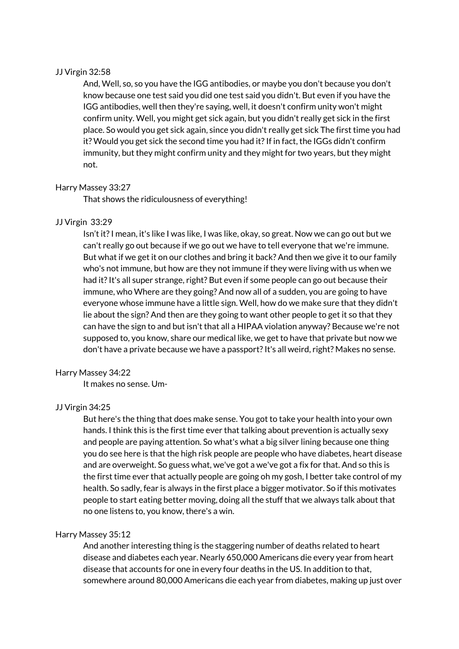## JJ Virgin 32:58

And, Well, so, so you have the IGG antibodies, or maybe you don't because you don't know because one test said you did one test said you didn't. But even if you have the IGG antibodies, well then they're saying, well, it doesn't confirm unity won't might confirm unity. Well, you might get sick again, but you didn't really get sick in the first place. So would you get sick again, since you didn't really get sick The first time you had it? Would you get sick the second time you had it? If in fact, the IGGs didn't confirm immunity, but they might confirm unity and they might for two years, but they might not.

## Harry Massey 33:27

That shows the ridiculousness of everything!

## JJ Virgin 33:29

Isn't it?I mean, it's like I was like, I was like, okay, so great. Now we can go out but we can't really go out because if we go out we have to tell everyone that we're immune. But what if we get it on our clothes and bring it back? And then we give it to our family who's not immune, but how are they not immune if they were living with us when we had it?It's all super strange, right? But even if some people can go out because their immune, who Where are they going? And now all of a sudden, you are going to have everyone whose immune have a little sign. Well, how do we make sure that they didn't lie about the sign? And then are they going to want other people to get it so that they can have the sign to and but isn't that all a HIPAA violation anyway? Because we're not supposed to, you know, share our medical like, we get to have that private but now we don't have a private because we have a passport?It's all weird, right? Makes no sense.

#### Harry Massey 34:22

It makes no sense. Um-

# JJ Virgin 34:25

But here's the thing that does make sense. You got to take your health into your own hands. I think this is the first time ever that talking about prevention is actually sexy and people are paying attention. So what's what a big silver lining because one thing you do see here is that the high risk people are people who have diabetes, heart disease and are overweight. So guess what, we've got a we've got a fix for that. And so this is the first time ever that actually people are going oh my gosh, I better take control of my health. So sadly, fear is always in the first place a bigger motivator. So if this motivates people to start eating better moving, doing all the stuff that we always talk about that no one listens to, you know, there's a win.

#### Harry Massey 35:12

And another interesting thing is the staggering number of deaths related to heart disease and diabetes each year. Nearly 650,000 Americans die every year from heart disease that accounts for one in every four deaths in the US. In addition to that, somewhere around 80,000 Americans die each year from diabetes, making up just over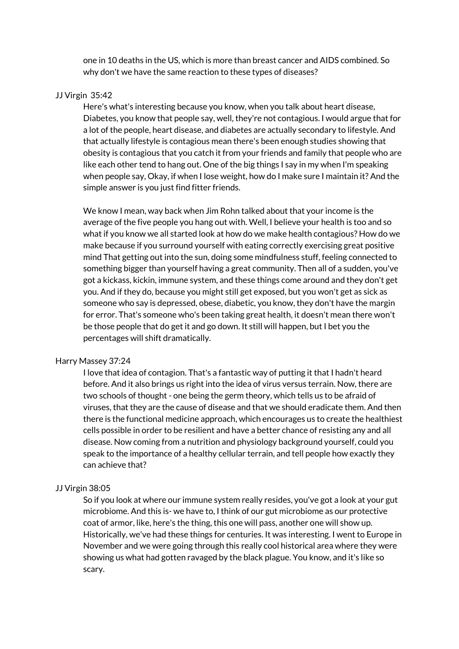one in 10 deaths in the US, which is more than breast cancer and AIDS combined. So why don't we have the same reaction to these types of diseases?

#### JJ Virgin 35:42

Here's what's interesting because you know, when you talk about heart disease, Diabetes, you know that people say, well, they're not contagious. I would argue that for a lot of the people, heart disease, and diabetes are actually secondary to lifestyle. And that actually lifestyle is contagious mean there's been enough studies showing that obesity is contagious that you catch it from your friends and family that people who are like each other tend to hang out. One of the big things I say in my when I'm speaking when people say, Okay, if when I lose weight, how do I make sure I maintain it? And the simple answer is you just find fitter friends.

We know I mean, way back when Jim Rohn talked about that your income is the average of the five people you hang out with. Well, I believe your health is too and so what if you know we all started look at how do we make health contagious? How do we make because if you surround yourself with eating correctly exercising great positive mind That getting out into the sun, doing some mindfulness stuff, feeling connected to something bigger than yourself having a great community. Then all of a sudden, you've got a kickass, kickin, immune system, and these things come around and they don't get you. And if they do, because you might still get exposed, but you won't get as sick as someone who say is depressed, obese, diabetic, you know, they don't have the margin for error. That's someone who's been taking great health, it doesn't mean there won't be those people that do get it and go down. It still will happen, but I bet you the percentages will shift dramatically.

#### Harry Massey 37:24

I love that idea of contagion. That's a fantastic way of putting it that I hadn't heard before. And it also brings us right into the idea of virus versus terrain. Now, there are two schools of thought - one being the germ theory, which tells us to be afraid of viruses, that they are the cause of disease and that we should eradicate them. And then there is the functional medicine approach, which encourages us to create the healthiest cells possible in order to be resilient and have a better chance of resisting any and all disease. Now coming from a nutrition and physiology background yourself, could you speak to the importance of a healthy cellular terrain, and tell people how exactly they can achieve that?

#### JJ Virgin 38:05

So if you look at where our immune system really resides, you've got a look at your gut microbiome. And this is- we have to, I think of our gut microbiome as our protective coat of armor, like, here's the thing, this one will pass, another one will show up. Historically, we've had these things for centuries. It was interesting. I went to Europe in November and we were going through this really cool historical area where they were showing us what had gotten ravaged by the black plague. You know, and it's like so scary.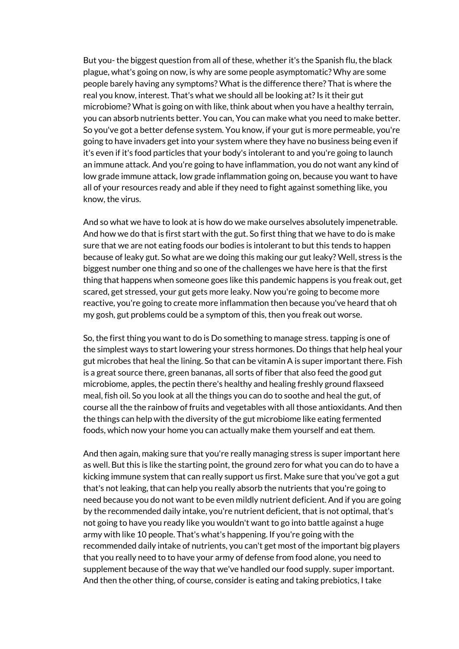But you- the biggest question from all of these, whether it's the Spanish flu, the black plague, what's going on now, is why are some people asymptomatic? Why are some people barely having any symptoms? What is the difference there? That is where the real you know, interest. That's what we should all be looking at? Is it their gut microbiome? What is going on with like, think about when you have a healthy terrain, you can absorb nutrients better. You can, You can make what you need to make better. So you've got a better defense system. You know, if your gut is more permeable, you're going to have invaders get into your system where they have no business being even if it's even if it's food particles that your body's intolerant to and you're going to launch an immune attack. And you're going to have inflammation, you do not want any kind of low grade immune attack, low grade inflammation going on, because you want to have all of your resources ready and able if they need to fight against something like, you know, the virus.

And so what we have to look at is how do we make ourselves absolutely impenetrable. And how we do that is first start with the gut. So first thing that we have to do is make sure that we are not eating foods our bodies is intolerant to but this tends to happen because of leaky gut. So what are we doing this making our gut leaky? Well, stress is the biggest number one thing and so one of the challenges we have here is that the first thing that happens when someone goes like this pandemic happens is you freak out, get scared, get stressed, your gut gets more leaky. Now you're going to become more reactive, you're going to create more inflammation then because you've heard that oh my gosh, gut problems could be a symptom of this, then you freak out worse.

So, the first thing you want to do is Do something to manage stress. tapping is one of the simplest ways to start lowering your stress hormones. Do things that help heal your gut microbes that heal the lining. So that can be vitamin A is super important there. Fish is a great source there, green bananas, all sorts of fiber that also feed the good gut microbiome, apples, the pectin there's healthy and healing freshly ground flaxseed meal, fish oil. So you look at all the things you can do to soothe and heal the gut, of course all the the rainbow of fruits and vegetables with all those antioxidants. And then the things can help with the diversity of the gut microbiome like eating fermented foods, which now your home you can actually make them yourself and eat them.

And then again, making sure that you're really managing stress is super important here as well. But this is like the starting point, the ground zero for what you can do to have a kicking immune system that can really support us first. Make sure that you've got a gut that's not leaking, that can help you really absorb the nutrients that you're going to need because you do not want to be even mildly nutrient deficient. And if you are going by the recommended daily intake, you're nutrient deficient, that is not optimal, that's not going to have you ready like you wouldn't want to go into battle against a huge army with like 10 people. That's what's happening. If you're going with the recommended daily intake of nutrients, you can't get most of the important big players that you really need to to have your army of defense from food alone, you need to supplement because of the way that we've handled our food supply. super important. And then the other thing, of course, consider is eating and taking prebiotics, I take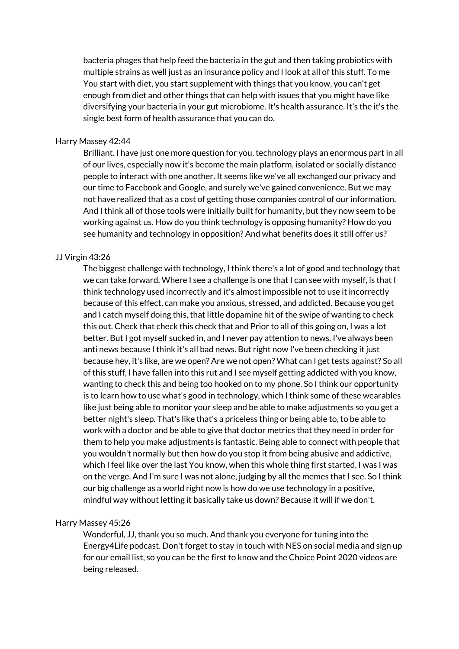bacteria phages that help feed the bacteria in the gut and then taking probiotics with multiple strains as well just as an insurance policy and I look at all of this stuff. To me You start with diet, you start supplement with things that you know, you can't get enough from diet and other things that can help with issues that you might have like diversifying your bacteria in your gut microbiome. It's health assurance. It's the it's the single best form of health assurance that you can do.

#### Harry Massey 42:44

Brilliant. I have just one more question for you. technology plays an enormous part in all of our lives, especially now it's become the main platform, isolated or socially distance people to interact with one another. It seems like we've all exchanged our privacy and our time to Facebook and Google, and surely we've gained convenience. But we may not have realized that as a cost of getting those companies control of our information. And I think all of those tools were initially built for humanity, but they now seem to be working against us. How do you think technology is opposing humanity? How do you see humanity and technology in opposition? And what benefits does it still offer us?

#### JJ Virgin 43:26

The biggest challenge with technology, I think there's a lot of good and technology that we can take forward. Where I see a challenge is one that I can see with myself, is that I think technology used incorrectly and it's almost impossible not to use it incorrectly because of this effect, can make you anxious, stressed, and addicted. Because you get and I catch myself doing this, that little dopamine hit of the swipe of wanting to check this out. Check that check this check that and Prior to all of this going on, I was a lot better. But I got myself sucked in, and I never pay attention to news. I've always been anti news because I think it's all bad news. But right now I've been checking it just because hey, it's like, are we open? Are we not open? What can I get tests against? So all of this stuff, I have fallen into this rut and I see myself getting addicted with you know, wanting to check this and being too hooked on to my phone. So I think our opportunity is to learn how to use what's good in technology, which I think some of these wearables like just being able to monitor your sleep and be able to make adjustments so you get a better night's sleep. That's like that's a priceless thing or being able to, to be able to work with a doctor and be able to give that doctor metrics that they need in order for them to help you make adjustments is fantastic. Being able to connect with people that you wouldn't normally but then how do you stop it from being abusive and addictive, which I feel like over the last You know, when this whole thing first started, I was I was on the verge. And I'm sure I was not alone, judging by all the memes that I see. So I think our big challenge as a world right now is how do we use technology in a positive, mindful way without letting it basically take us down? Because it will if we don't.

#### Harry Massey 45:26

Wonderful, JJ, thank you so much. And thank you everyone for tuning into the Energy4Life podcast. Don't forget to stay in touch with NES on social media and sign up for our email list, so you can be the first to know and the Choice Point 2020 videos are being released.